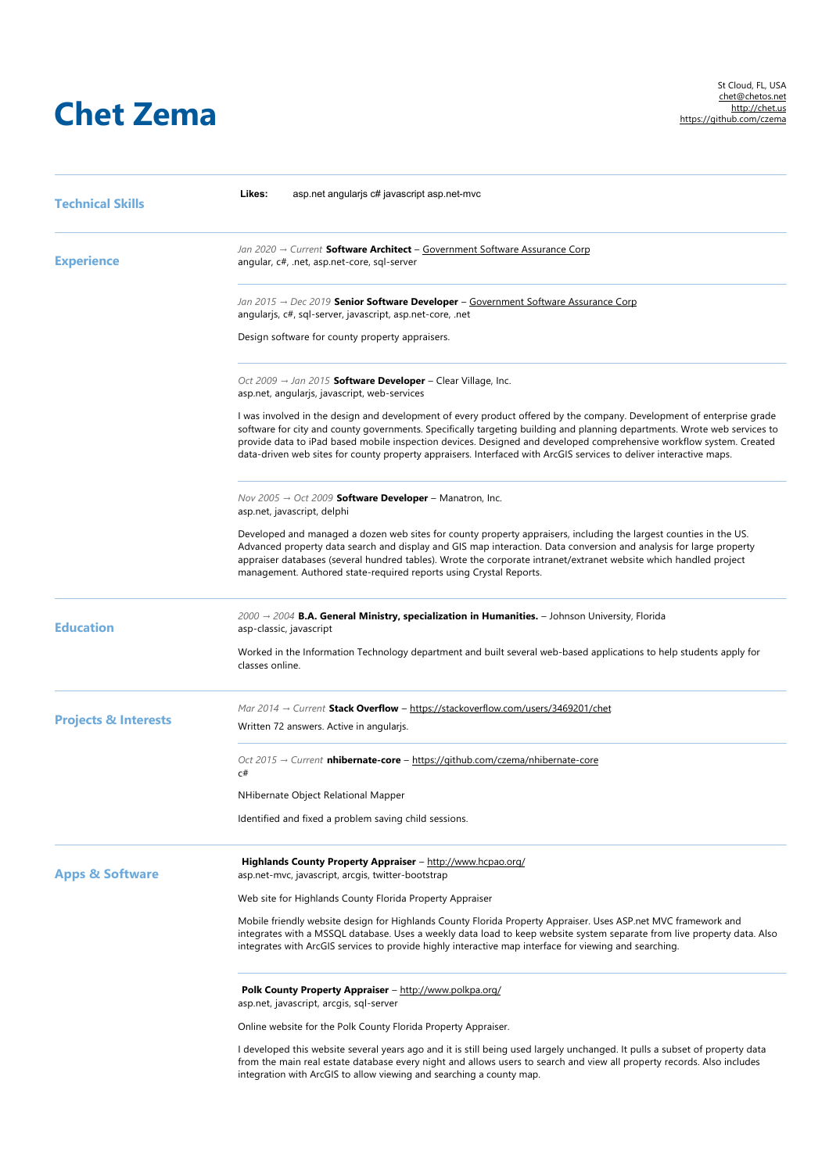## **Chet Zema**

| <b>Technical Skills</b>         | Likes:<br>asp.net angularjs c# javascript asp.net-mvc                                                                                                                                                                                                                                                                                                                                                                                                                                           |
|---------------------------------|-------------------------------------------------------------------------------------------------------------------------------------------------------------------------------------------------------------------------------------------------------------------------------------------------------------------------------------------------------------------------------------------------------------------------------------------------------------------------------------------------|
| <b>Experience</b>               | Jan 2020 → Current Software Architect – Government Software Assurance Corp<br>angular, c#, .net, asp.net-core, sql-server                                                                                                                                                                                                                                                                                                                                                                       |
|                                 | Jan 2015 $\rightarrow$ Dec 2019 <b>Senior Software Developer</b> – Government Software Assurance Corp<br>angularjs, c#, sql-server, javascript, asp.net-core, .net                                                                                                                                                                                                                                                                                                                              |
|                                 | Design software for county property appraisers.                                                                                                                                                                                                                                                                                                                                                                                                                                                 |
|                                 | Oct 2009 $\rightarrow$ Jan 2015 <b>Software Developer</b> – Clear Village, Inc.<br>asp.net, angularjs, javascript, web-services                                                                                                                                                                                                                                                                                                                                                                 |
|                                 | I was involved in the design and development of every product offered by the company. Development of enterprise grade<br>software for city and county governments. Specifically targeting building and planning departments. Wrote web services to<br>provide data to iPad based mobile inspection devices. Designed and developed comprehensive workflow system. Created<br>data-driven web sites for county property appraisers. Interfaced with ArcGIS services to deliver interactive maps. |
|                                 | Nov 2005 $\rightarrow$ Oct 2009 <b>Software Developer</b> – Manatron, Inc.<br>asp.net, javascript, delphi                                                                                                                                                                                                                                                                                                                                                                                       |
|                                 | Developed and managed a dozen web sites for county property appraisers, including the largest counties in the US.<br>Advanced property data search and display and GIS map interaction. Data conversion and analysis for large property<br>appraiser databases (several hundred tables). Wrote the corporate intranet/extranet website which handled project<br>management. Authored state-required reports using Crystal Reports.                                                              |
| <b>Education</b>                | $2000 → 2004$ B.A. General Ministry, specialization in Humanities. - Johnson University, Florida<br>asp-classic, javascript                                                                                                                                                                                                                                                                                                                                                                     |
|                                 | Worked in the Information Technology department and built several web-based applications to help students apply for<br>classes online.                                                                                                                                                                                                                                                                                                                                                          |
| <b>Projects &amp; Interests</b> | Mar $2014 \rightarrow$ Current Stack Overflow - https://stackoverflow.com/users/3469201/chet                                                                                                                                                                                                                                                                                                                                                                                                    |
|                                 | Written 72 answers. Active in angularis.                                                                                                                                                                                                                                                                                                                                                                                                                                                        |
|                                 | Oct 2015 $\rightarrow$ Current <b>nhibernate-core</b> – https://github.com/czema/nhibernate-core<br>c#                                                                                                                                                                                                                                                                                                                                                                                          |
|                                 | NHibernate Object Relational Mapper                                                                                                                                                                                                                                                                                                                                                                                                                                                             |
|                                 | Identified and fixed a problem saving child sessions.                                                                                                                                                                                                                                                                                                                                                                                                                                           |
| <b>Apps &amp; Software</b>      | Highlands County Property Appraiser - http://www.hcpao.org/<br>asp.net-mvc, javascript, arcgis, twitter-bootstrap                                                                                                                                                                                                                                                                                                                                                                               |
|                                 | Web site for Highlands County Florida Property Appraiser                                                                                                                                                                                                                                                                                                                                                                                                                                        |
|                                 | Mobile friendly website design for Highlands County Florida Property Appraiser. Uses ASP.net MVC framework and<br>integrates with a MSSQL database. Uses a weekly data load to keep website system separate from live property data. Also<br>integrates with ArcGIS services to provide highly interactive map interface for viewing and searching.                                                                                                                                             |
|                                 | <b>Polk County Property Appraiser</b> – http://www.polkpa.org/<br>asp.net, javascript, arcgis, sql-server                                                                                                                                                                                                                                                                                                                                                                                       |
|                                 | Online website for the Polk County Florida Property Appraiser.                                                                                                                                                                                                                                                                                                                                                                                                                                  |
|                                 | I developed this website several years ago and it is still being used largely unchanged. It pulls a subset of property data<br>from the main real estate database every night and allows users to search and view all property records. Also includes<br>integration with ArcGIS to allow viewing and searching a county map.                                                                                                                                                                   |